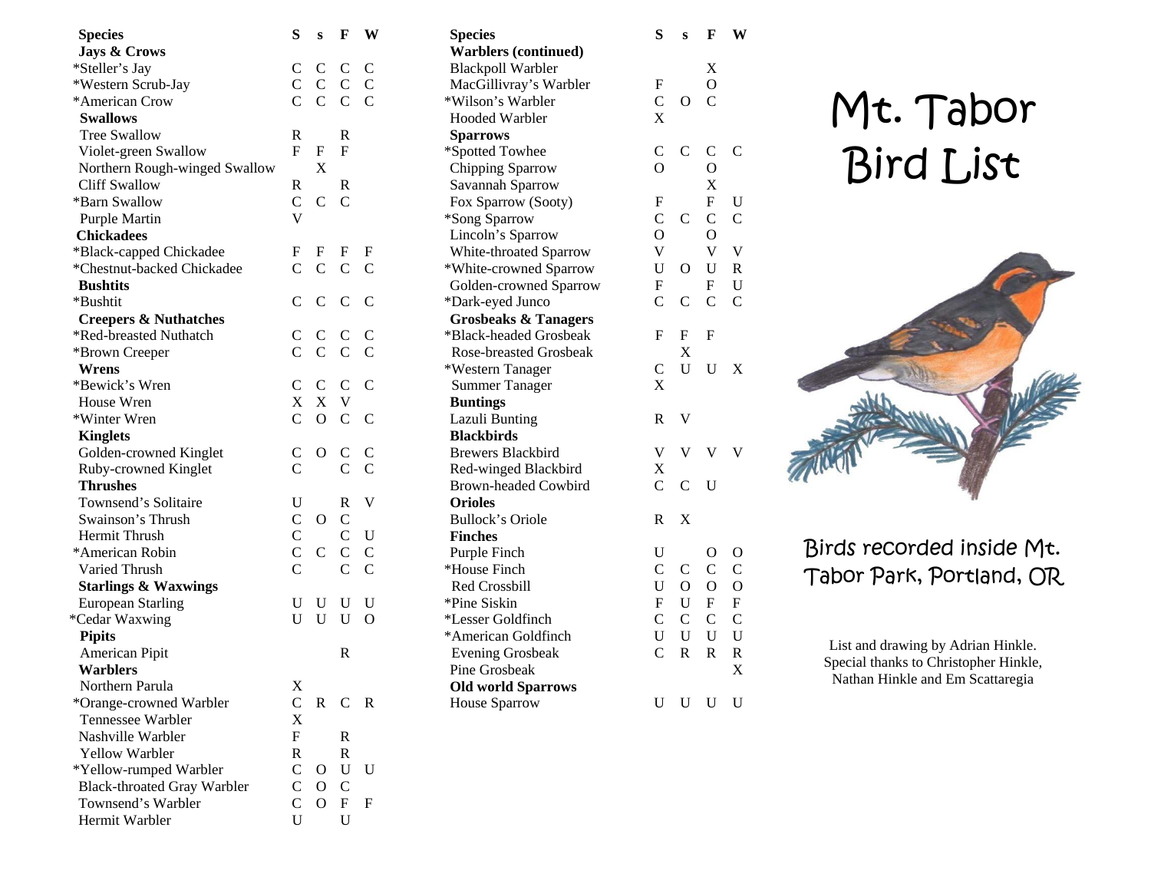| <b>Species</b>                     | S              | S              | F              | W              |  |
|------------------------------------|----------------|----------------|----------------|----------------|--|
| <b>Jays &amp; Crows</b>            |                |                |                |                |  |
| *Steller's Jay                     | C              | $\mathbf C$    | $\mathbf C$    | C              |  |
| *Western Scrub-Jay                 |                | $C$ $C$ $C$    |                | $\mathbf C$    |  |
| *American Crow                     |                | $C$ $C$ $C$    |                | $\overline{C}$ |  |
| <b>Swallows</b>                    |                |                |                |                |  |
| <b>Tree Swallow</b>                | R              |                | R              |                |  |
| Violet-green Swallow               | F              | F              | F              |                |  |
| Northern Rough-winged Swallow      |                | X              |                |                |  |
| <b>Cliff Swallow</b>               | R              |                | R              |                |  |
| *Barn Swallow                      | $\mathbf{C}$   | $\mathcal{C}$  | $\mathcal{C}$  |                |  |
| <b>Purple Martin</b>               | V              |                |                |                |  |
| <b>Chickadees</b>                  |                |                |                |                |  |
| *Black-capped Chickadee            | F              | F              | F              | F              |  |
| *Chestnut-backed Chickadee         | $\mathcal{C}$  | $\mathcal{C}$  | $\mathcal{C}$  | C              |  |
| <b>Bushtits</b>                    |                |                |                |                |  |
| *Bushtit                           | C              | $\mathbf{C}$   | $\mathcal{C}$  | C              |  |
| <b>Creepers &amp; Nuthatches</b>   |                |                |                |                |  |
| *Red-breasted Nuthatch             | C              | $\mathbf{C}$   | $\mathbf C$    | C              |  |
| *Brown Creeper                     | $\mathsf{C}$   | $\mathcal{C}$  | $\mathbf C$    | Ċ              |  |
| Wrens                              |                |                |                |                |  |
| *Bewick's Wren                     |                |                |                | $\mathcal{C}$  |  |
| House Wren                         |                | C C C<br>X X V |                |                |  |
| *Winter Wren                       | $\mathbf{C}$   | $\overline{O}$ | $\mathsf{C}$   | C              |  |
| <b>Kinglets</b>                    |                |                |                |                |  |
| Golden-crowned Kinglet             | C              | $\overline{O}$ | C              | C              |  |
| Ruby-crowned Kinglet               | $\overline{C}$ |                | $\overline{C}$ | $\overline{C}$ |  |
| <b>Thrushes</b>                    |                |                |                |                |  |
| Townsend's Solitaire               | U              |                | R              | V              |  |
| Swainson's Thrush                  | $\mathbf{C}$   | $\overline{O}$ | $\mathcal{C}$  |                |  |
| <b>Hermit Thrush</b>               | $\mathsf{C}^-$ |                | $\mathbf{C}$   | U              |  |
| *American Robin                    | $\mathbf C$    | $\mathbf C$    | $\mathbf C$    | $\mathbf C$    |  |
| Varied Thrush                      | $\overline{C}$ |                | $\overline{C}$ | $\overline{C}$ |  |
| <b>Starlings &amp; Waxwings</b>    |                |                |                |                |  |
| <b>European Starling</b>           | U              | U              | U              | U              |  |
| *Cedar Waxwing                     | U              | U              | U              | $\Omega$       |  |
| <b>Pipits</b>                      |                |                |                |                |  |
| American Pipit                     |                |                | R              |                |  |
| <b>Warblers</b>                    |                |                |                |                |  |
| Northern Parula                    | X              |                |                |                |  |
| *Orange-crowned Warbler            | C              | R              | $\mathbf C$    | R              |  |
| Tennessee Warbler                  | X              |                |                |                |  |
| Nashville Warbler                  | F              |                | R              |                |  |
| <b>Yellow Warbler</b>              | R              |                | $\mathbf R$    |                |  |
| *Yellow-rumped Warbler             | $\mathsf{C}$   | O              | U              | U              |  |
| <b>Black-throated Gray Warbler</b> | $\mathsf{C}$   | 0              | $\mathcal{C}$  |                |  |
| Townsend's Warbler                 | $\mathsf{C}$   | O              | F              | F              |  |
| Hermit Warbler                     | U              |                | U              |                |  |
|                                    |                |                |                |                |  |

| <b>Species</b>                  | S                       | S                 | F              | W              |
|---------------------------------|-------------------------|-------------------|----------------|----------------|
| <b>Warblers (continued)</b>     |                         |                   |                |                |
| <b>Blackpoll Warbler</b>        |                         |                   | X              |                |
| MacGillivray's Warbler          | F                       |                   | $\overline{O}$ |                |
| *Wilson's Warbler               | $\overline{C}$          | O                 | $\mathsf{C}$   |                |
| <b>Hooded Warbler</b>           | X                       |                   |                |                |
| <b>Sparrows</b>                 |                         |                   |                |                |
| *Spotted Towhee                 | C                       | $\mathcal{C}$     | C              | $\mathcal{C}$  |
| Chipping Sparrow                | O                       |                   | $\overline{O}$ |                |
| Savannah Sparrow                |                         |                   | X              |                |
| Fox Sparrow (Sooty)             | F                       |                   | F              | U              |
| *Song Sparrow                   | $\overline{C}$          | $\mathcal{C}$     | $\overline{C}$ | $\overline{C}$ |
| Lincoln's Sparrow               | $\overline{O}$          |                   | $\overline{O}$ |                |
| White-throated Sparrow          | $\overline{\mathsf{V}}$ |                   | $\bar{V}$      | $\mathbf V$    |
| *White-crowned Sparrow          | U                       | $\mathbf O$       | U              | $\mathbb{R}$   |
| Golden-crowned Sparrow          | F                       |                   | $\mathbf{F}$   | U              |
| *Dark-eyed Junco                | $\overline{C}$          | $\mathcal{C}$     | $\mathcal{C}$  | $\overline{C}$ |
| <b>Grosbeaks &amp; Tanagers</b> |                         |                   |                |                |
| *Black-headed Grosbeak          | F                       | F                 | F              |                |
| Rose-breasted Grosbeak          |                         | X                 |                |                |
| *Western Tanager                | $\overline{C}$          | U                 | U              | X              |
| <b>Summer Tanager</b>           | X                       |                   |                |                |
| <b>Buntings</b>                 |                         |                   |                |                |
| Lazuli Bunting                  | R                       | V                 |                |                |
| <b>Blackbirds</b>               |                         |                   |                |                |
| Brewers Blackbird               | $\overline{\mathsf{V}}$ | V                 | V              | V              |
| Red-winged Blackbird            | X                       |                   |                |                |
| <b>Brown-headed Cowbird</b>     | $\overline{C}$          | $\mathcal{C}$     | U              |                |
| <b>Orioles</b>                  |                         |                   |                |                |
| <b>Bullock's Oriole</b>         | R                       | X                 |                |                |
| <b>Finches</b>                  |                         |                   |                |                |
| Purple Finch                    | U                       |                   | О              | O              |
| *House Finch                    | $\mathcal{C}$           | $\mathsf{C}$      | $\mathbf{C}$   | $\overline{C}$ |
| Red Crossbill                   | $\mathbf U$             | $\mathbf{O}$      | $\overline{O}$ | $\overline{O}$ |
| *Pine Siskin                    | $\mathbf F$             | $\rm \frac{U}{C}$ | $F_{-}$        | $\mathbf F$    |
| *Lesser Goldfinch               | $\overline{C}$          |                   | $\mathsf{C}$   | $\overline{C}$ |
| *American Goldfinch             | U                       | $\mathbf U$       | $\mathbf{U}$   | $\mathbf U$    |
| <b>Evening Grosbeak</b>         | $\overline{C}$          | $\mathbb{R}$      | $\mathbf R$    | $\mathbb{R}$   |
| Pine Grosbeak                   |                         |                   |                | X              |
| <b>Old world Sparrows</b>       |                         |                   |                |                |
| House Sparrow                   | U                       | U                 | U              | U              |

## Mt. Tabor Bird List



## Birds recorded inside Mt. Tabor Park, Portland, OR

List and drawing by Adrian Hinkle. Special thanks to Christopher Hinkle, Nathan Hinkle and Em Scattaregia